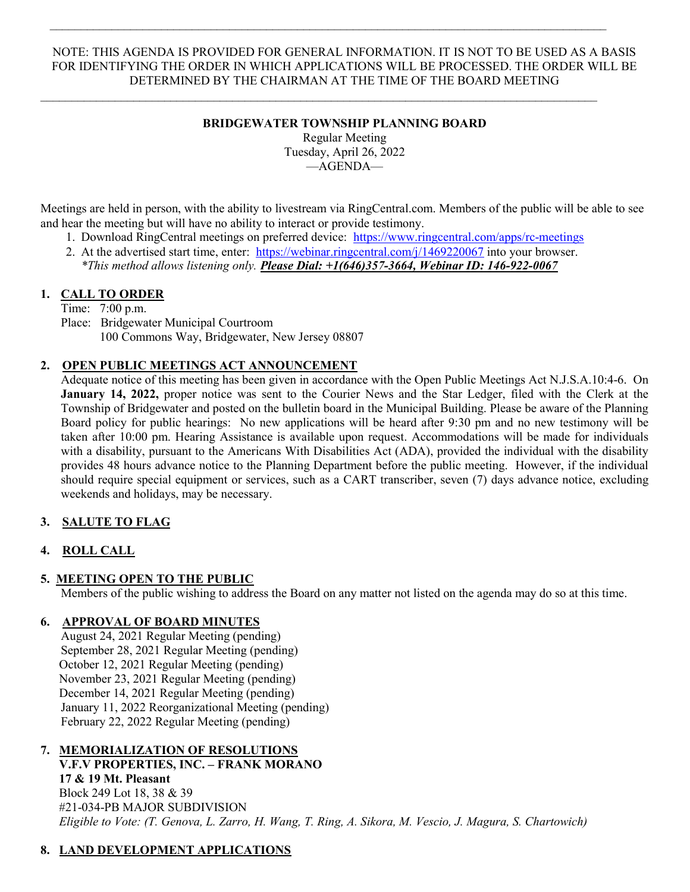#### NOTE: THIS AGENDA IS PROVIDED FOR GENERAL INFORMATION. IT IS NOT TO BE USED AS A BASIS FOR IDENTIFYING THE ORDER IN WHICH APPLICATIONS WILL BE PROCESSED. THE ORDER WILL BE DETERMINED BY THE CHAIRMAN AT THE TIME OF THE BOARD MEETING

 $\mathcal{L}_\mathcal{L} = \mathcal{L}_\mathcal{L} = \mathcal{L}_\mathcal{L} = \mathcal{L}_\mathcal{L} = \mathcal{L}_\mathcal{L} = \mathcal{L}_\mathcal{L} = \mathcal{L}_\mathcal{L} = \mathcal{L}_\mathcal{L} = \mathcal{L}_\mathcal{L} = \mathcal{L}_\mathcal{L} = \mathcal{L}_\mathcal{L} = \mathcal{L}_\mathcal{L} = \mathcal{L}_\mathcal{L} = \mathcal{L}_\mathcal{L} = \mathcal{L}_\mathcal{L} = \mathcal{L}_\mathcal{L} = \mathcal{L}_\mathcal{L}$ 

 $\mathcal{L}_\mathcal{L} = \{ \mathcal{L}_\mathcal{L} = \{ \mathcal{L}_\mathcal{L} = \{ \mathcal{L}_\mathcal{L} = \{ \mathcal{L}_\mathcal{L} = \{ \mathcal{L}_\mathcal{L} = \{ \mathcal{L}_\mathcal{L} = \{ \mathcal{L}_\mathcal{L} = \{ \mathcal{L}_\mathcal{L} = \{ \mathcal{L}_\mathcal{L} = \{ \mathcal{L}_\mathcal{L} = \{ \mathcal{L}_\mathcal{L} = \{ \mathcal{L}_\mathcal{L} = \{ \mathcal{L}_\mathcal{L} = \{ \mathcal{L}_\mathcal{$ 

## BRIDGEWATER TOWNSHIP PLANNING BOARD

Regular Meeting Tuesday, April 26, 2022 —AGENDA—

Meetings are held in person, with the ability to livestream via RingCentral.com. Members of the public will be able to see and hear the meeting but will have no ability to interact or provide testimony.

- 1. Download RingCentral meetings on preferred device: https://www.ringcentral.com/apps/rc-meetings
- 2. At the advertised start time, enter: https://webinar.ringcentral.com/j/1469220067 into your browser. \*This method allows listening only. Please Dial:  $+1(646)357-3664$ , Webinar ID: 146-922-0067

### 1. CALL TO ORDER

Time: 7:00 p.m. Place: Bridgewater Municipal Courtroom 100 Commons Way, Bridgewater, New Jersey 08807

## 2. OPEN PUBLIC MEETINGS ACT ANNOUNCEMENT

Adequate notice of this meeting has been given in accordance with the Open Public Meetings Act N.J.S.A.10:4-6. On January 14, 2022, proper notice was sent to the Courier News and the Star Ledger, filed with the Clerk at the Township of Bridgewater and posted on the bulletin board in the Municipal Building. Please be aware of the Planning Board policy for public hearings: No new applications will be heard after 9:30 pm and no new testimony will be taken after 10:00 pm. Hearing Assistance is available upon request. Accommodations will be made for individuals with a disability, pursuant to the Americans With Disabilities Act (ADA), provided the individual with the disability provides 48 hours advance notice to the Planning Department before the public meeting. However, if the individual should require special equipment or services, such as a CART transcriber, seven (7) days advance notice, excluding weekends and holidays, may be necessary.

# 3. SALUTE TO FLAG

# 4. ROLL CALL

### 5. MEETING OPEN TO THE PUBLIC

Members of the public wishing to address the Board on any matter not listed on the agenda may do so at this time.

### 6. APPROVAL OF BOARD MINUTES

August 24, 2021 Regular Meeting (pending) September 28, 2021 Regular Meeting (pending) October 12, 2021 Regular Meeting (pending) November 23, 2021 Regular Meeting (pending) December 14, 2021 Regular Meeting (pending) January 11, 2022 Reorganizational Meeting (pending) February 22, 2022 Regular Meeting (pending)

### 7. MEMORIALIZATION OF RESOLUTIONS

 V.F.V PROPERTIES, INC. – FRANK MORANO 17 & 19 Mt. Pleasant Block 249 Lot 18, 38 & 39 #21-034-PB MAJOR SUBDIVISION Eligible to Vote: (T. Genova, L. Zarro, H. Wang, T. Ring, A. Sikora, M. Vescio, J. Magura, S. Chartowich)

### 8. LAND DEVELOPMENT APPLICATIONS